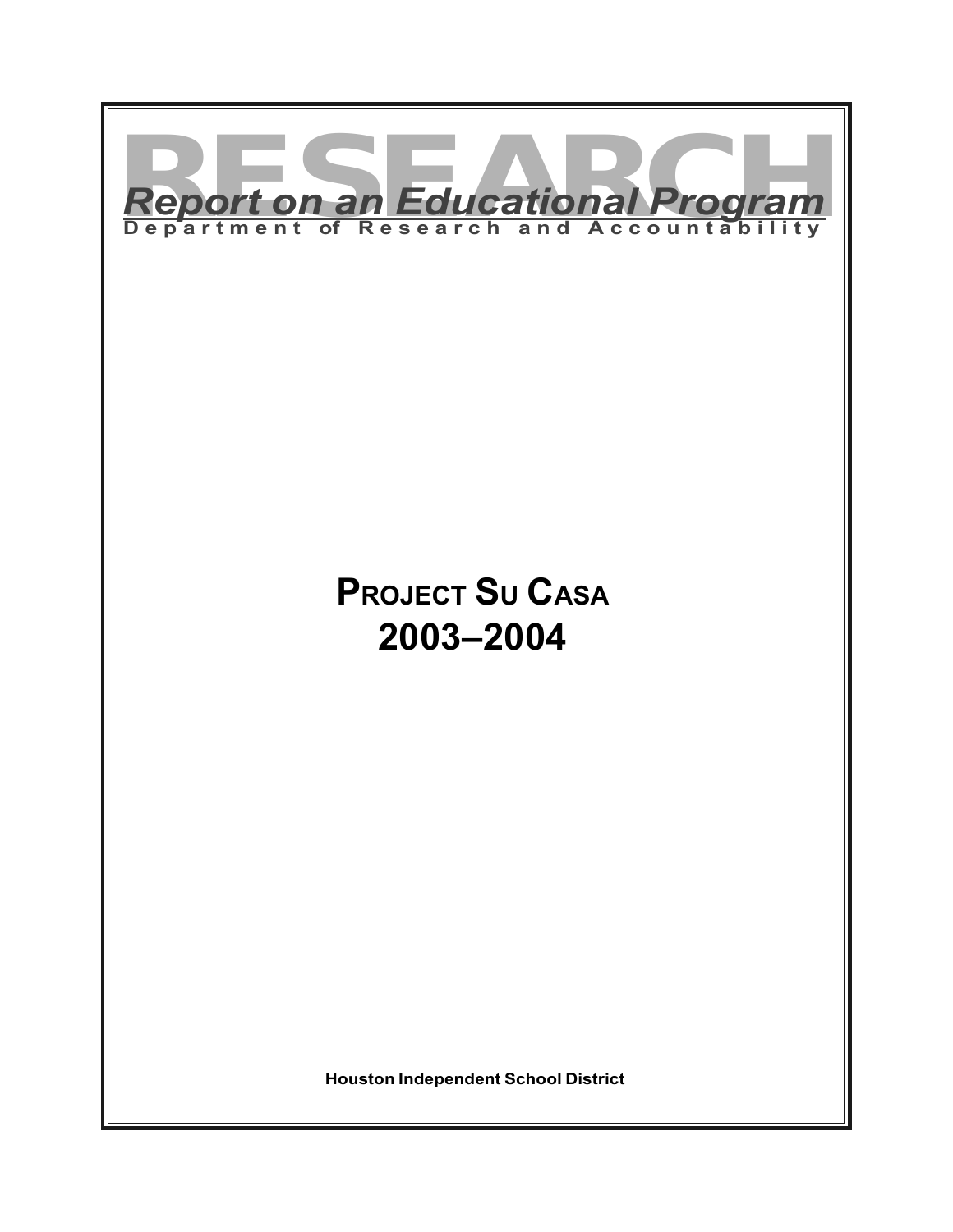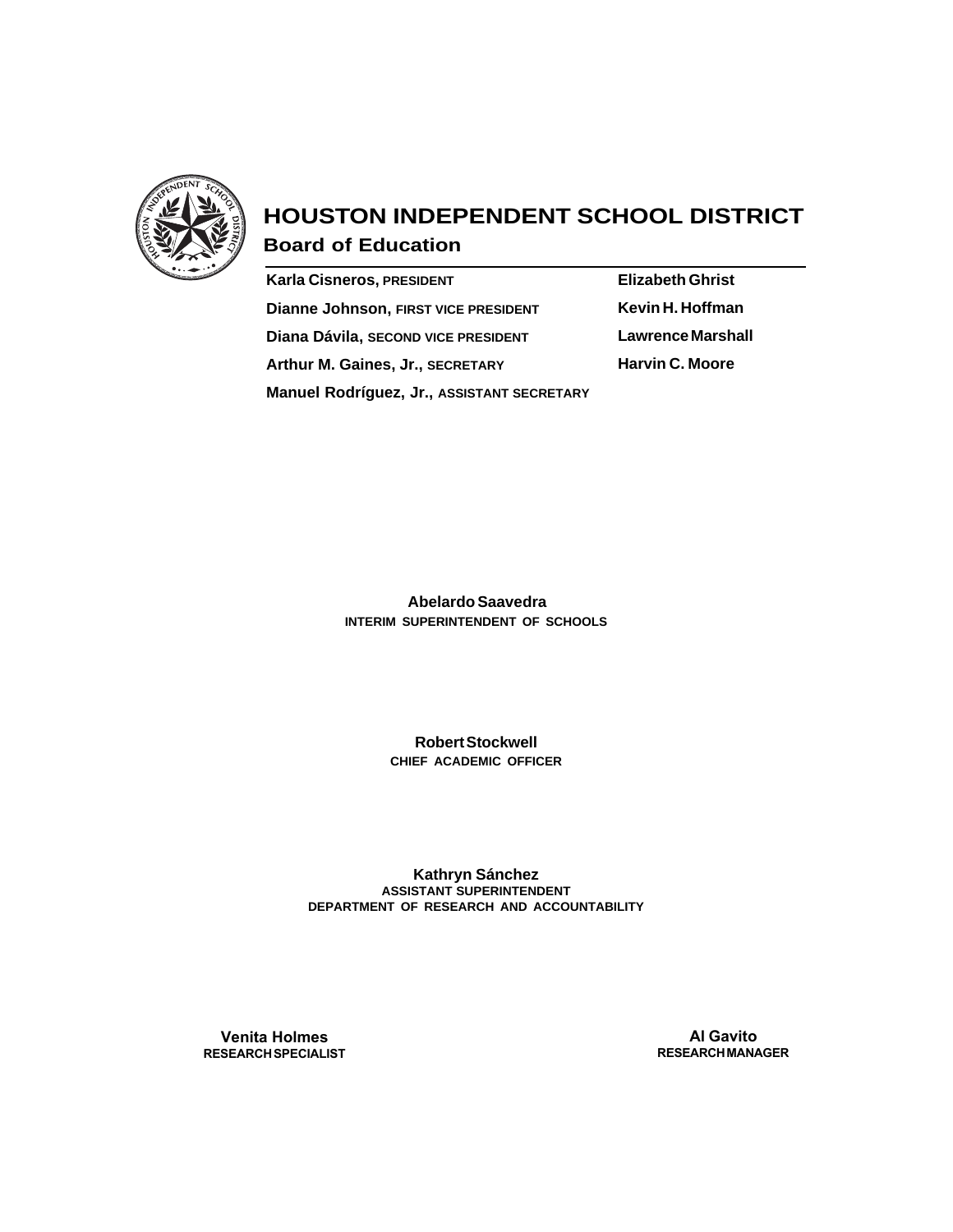

# **HOUSTON INDEPENDENT SCHOOL DISTRICT**

**Board of Education**

| <b>Karla Cisneros, PRESIDENT</b>            |
|---------------------------------------------|
| <b>Dianne Johnson, FIRST VICE PRESIDENT</b> |
| Diana Dávila, SECOND VICE PRESIDENT         |
| Arthur M. Gaines, Jr., SECRETARY            |
| Manuel Rodríguez, Jr., ASSISTANT SECRETARY  |

**Elizabeth Ghrist Kevin H. Hoffman Lawrence Marshall Harvin C. Moore**

 **Abelardo Saavedra INTERIM SUPERINTENDENT OF SCHOOLS**

> **Robert Stockwell CHIEF ACADEMIC OFFICER**

**Kathryn Sánchez ASSISTANT SUPERINTENDENT DEPARTMENT OF RESEARCH AND ACCOUNTABILITY**

**Venita Holmes RESEARCH SPECIALIST**

**Al Gavito RESEARCH MANAGER**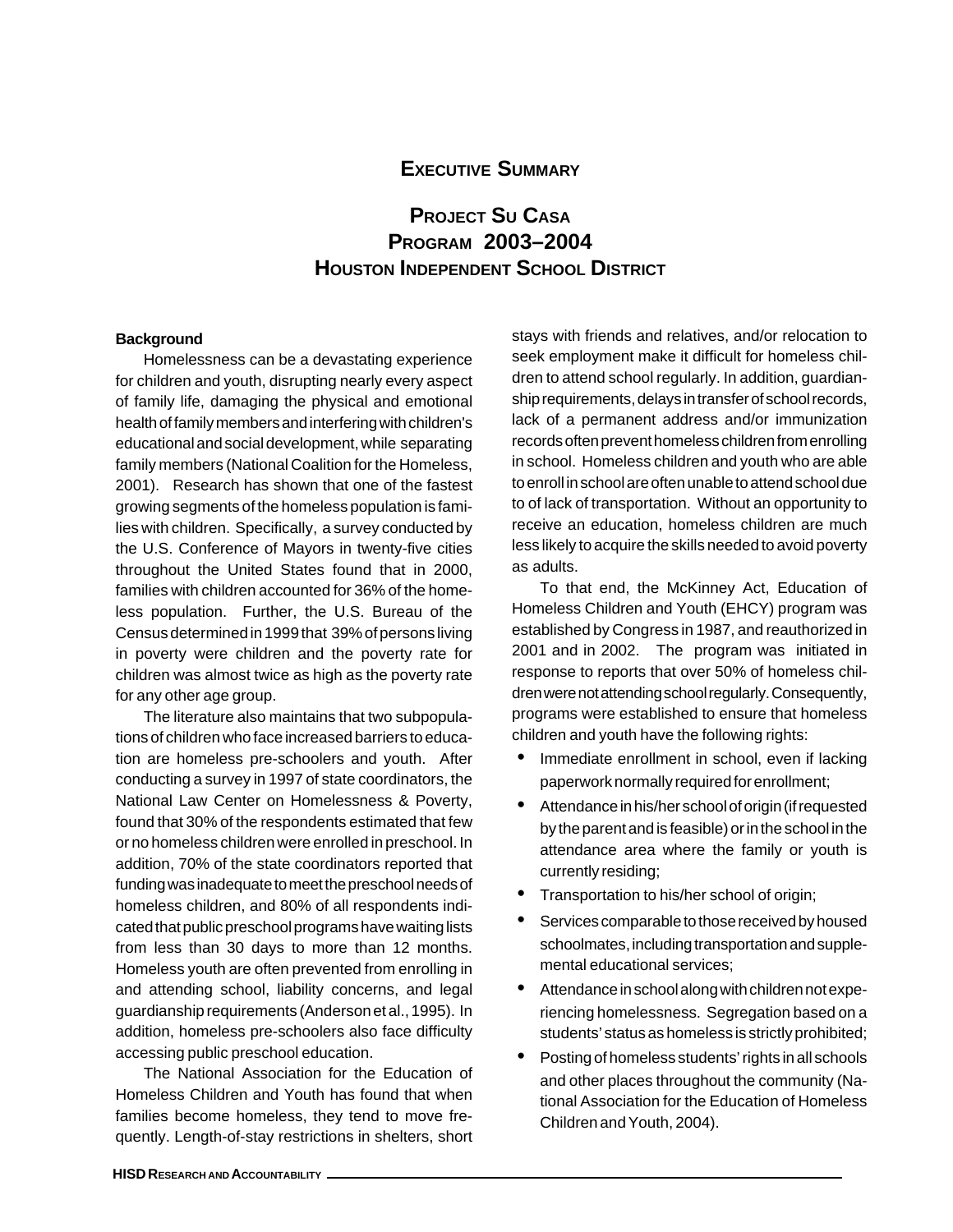### **EXECUTIVE SUMMARY**

## **PROJECT SU CASA PROGRAM 2003–2004 HOUSTON INDEPENDENT SCHOOL DISTRICT**

#### **Background**

Homelessness can be a devastating experience for children and youth, disrupting nearly every aspect of family life, damaging the physical and emotional health of family members and interfering with children's educational and social development, while separating family members (National Coalition for the Homeless, 2001). Research has shown that one of the fastest growing segments of the homeless population is families with children. Specifically, a survey conducted by the U.S. Conference of Mayors in twenty-five cities throughout the United States found that in 2000, families with children accounted for 36% of the homeless population. Further, the U.S. Bureau of the Census determined in 1999 that 39% of persons living in poverty were children and the poverty rate for children was almost twice as high as the poverty rate for any other age group.

The literature also maintains that two subpopulations of children who face increased barriers to education are homeless pre-schoolers and youth. After conducting a survey in 1997 of state coordinators, the National Law Center on Homelessness & Poverty, found that 30% of the respondents estimated that few or no homeless children were enrolled in preschool. In addition, 70% of the state coordinators reported that funding was inadequate to meet the preschool needs of homeless children, and 80% of all respondents indicated that public preschool programs have waiting lists from less than 30 days to more than 12 months. Homeless youth are often prevented from enrolling in and attending school, liability concerns, and legal guardianship requirements (Anderson et al., 1995). In addition, homeless pre-schoolers also face difficulty accessing public preschool education.

The National Association for the Education of Homeless Children and Youth has found that when families become homeless, they tend to move frequently. Length-of-stay restrictions in shelters, short stays with friends and relatives, and/or relocation to seek employment make it difficult for homeless children to attend school regularly. In addition, guardianship requirements, delays in transfer of school records, lack of a permanent address and/or immunization records often prevent homeless children from enrolling in school. Homeless children and youth who are able to enroll in school are often unable to attend school due to of lack of transportation. Without an opportunity to receive an education, homeless children are much less likely to acquire the skills needed to avoid poverty as adults.

To that end, the McKinney Act, Education of Homeless Children and Youth (EHCY) program was established by Congress in 1987, and reauthorized in 2001 and in 2002. The program was initiated in response to reports that over 50% of homeless children were not attending school regularly. Consequently, programs were established to ensure that homeless children and youth have the following rights:

- Immediate enrollment in school, even if lacking paperwork normally required for enrollment;
- Attendance in his/her school of origin (if requested by the parent and is feasible) or in the school in the attendance area where the family or youth is currently residing;
- Transportation to his/her school of origin;
- Services comparable to those received by housed schoolmates, including transportation and supplemental educational services;
- Attendance in school along with children not experiencing homelessness. Segregation based on a students' status as homeless is strictly prohibited;
- Posting of homeless students' rights in all schools and other places throughout the community (National Association for the Education of Homeless Children and Youth, 2004).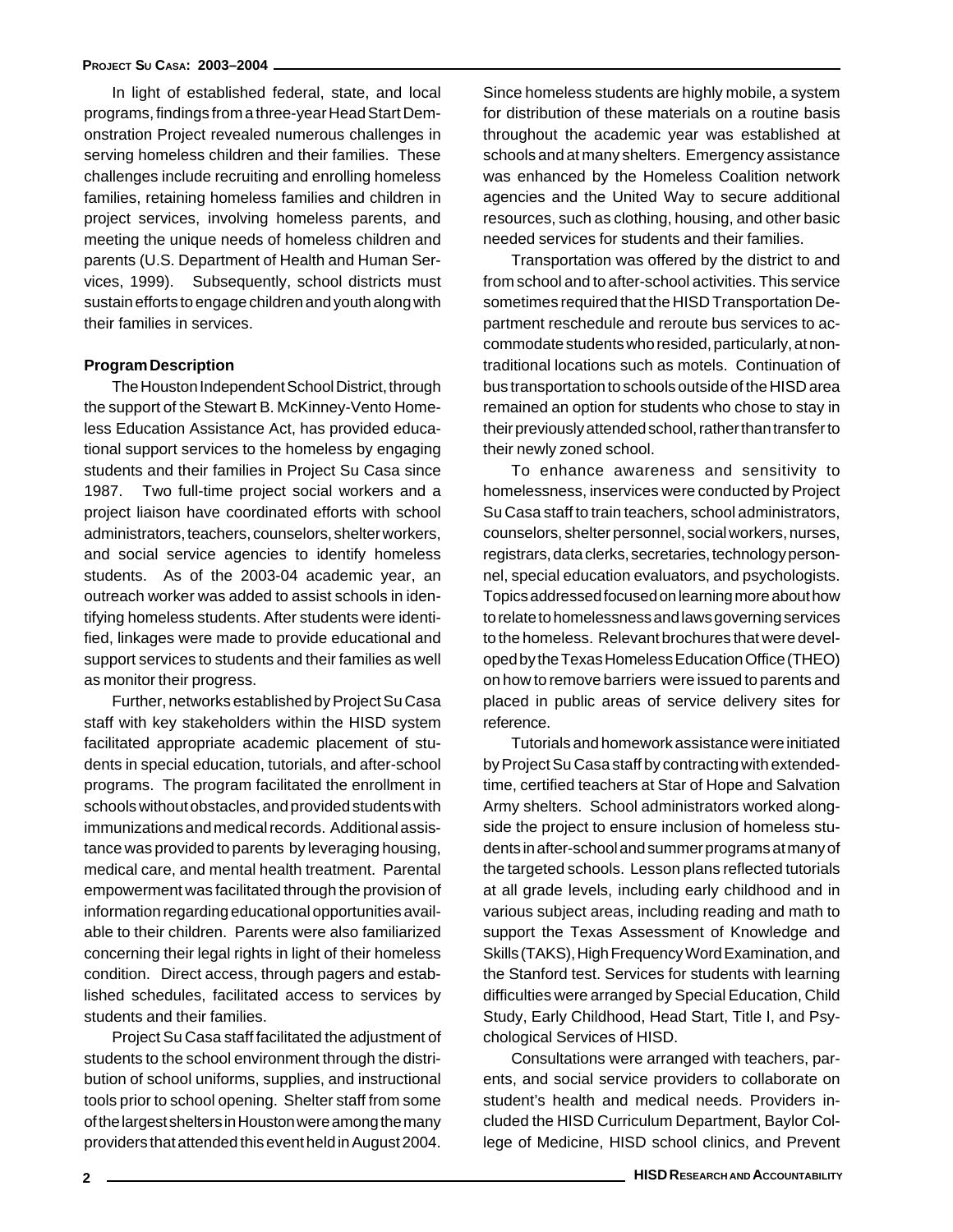In light of established federal, state, and local programs, findings from a three-year Head Start Demonstration Project revealed numerous challenges in serving homeless children and their families. These challenges include recruiting and enrolling homeless families, retaining homeless families and children in project services, involving homeless parents, and meeting the unique needs of homeless children and parents (U.S. Department of Health and Human Services, 1999). Subsequently, school districts must sustain efforts to engage children and youth along with their families in services.

#### **Program Description**

The Houston Independent School District, through the support of the Stewart B. McKinney-Vento Homeless Education Assistance Act, has provided educational support services to the homeless by engaging students and their families in Project Su Casa since 1987. Two full-time project social workers and a project liaison have coordinated efforts with school administrators, teachers, counselors, shelter workers, and social service agencies to identify homeless students. As of the 2003-04 academic year, an outreach worker was added to assist schools in identifying homeless students. After students were identified, linkages were made to provide educational and support services to students and their families as well as monitor their progress.

Further, networks established by Project Su Casa staff with key stakeholders within the HISD system facilitated appropriate academic placement of students in special education, tutorials, and after-school programs. The program facilitated the enrollment in schools without obstacles, and provided students with immunizations and medical records.Additional assistance was provided to parents by leveraging housing, medical care, and mental health treatment. Parental empowerment was facilitated through the provision of information regarding educational opportunities available to their children. Parents were also familiarized concerning their legal rights in light of their homeless condition. Direct access, through pagers and established schedules, facilitated access to services by students and their families.

Project Su Casa staff facilitated the adjustment of students to the school environment through the distribution of school uniforms, supplies, and instructional tools prior to school opening. Shelter staff from some of the largest shelters in Houston were among the many providers that attended this event held in August 2004.

Since homeless students are highly mobile, a system for distribution of these materials on a routine basis throughout the academic year was established at schools and at many shelters. Emergency assistance was enhanced by the Homeless Coalition network agencies and the United Way to secure additional resources, such as clothing, housing, and other basic needed services for students and their families.

Transportation was offered by the district to and from school and to after-school activities. This service sometimes required that the HISD Transportation Department reschedule and reroute bus services to accommodate students who resided, particularly, at nontraditional locations such as motels. Continuation of bus transportation to schools outside of the HISD area remained an option for students who chose to stay in their previously attended school, rather than transfer to their newly zoned school.

To enhance awareness and sensitivity to homelessness, inservices were conducted by Project Su Casa staff to train teachers, school administrators, counselors, shelter personnel, social workers, nurses, registrars, data clerks, secretaries, technology personnel, special education evaluators, and psychologists. Topics addressed focused on learning more about how to relate to homelessness and laws governing services to the homeless. Relevant brochures that were developed by the Texas Homeless Education Office (THEO) on how to remove barriers were issued to parents and placed in public areas of service delivery sites for reference.

Tutorials and homework assistance were initiated by Project Su Casa staff by contracting with extendedtime, certified teachers at Star of Hope and Salvation Army shelters. School administrators worked alongside the project to ensure inclusion of homeless students in after-school and summer programs at many of the targeted schools. Lesson plans reflected tutorials at all grade levels, including early childhood and in various subject areas, including reading and math to support the Texas Assessment of Knowledge and Skills (TAKS), High Frequency Word Examination, and the Stanford test. Services for students with learning difficulties were arranged by Special Education, Child Study, Early Childhood, Head Start, Title I, and Psychological Services of HISD.

Consultations were arranged with teachers, parents, and social service providers to collaborate on student's health and medical needs. Providers included the HISD Curriculum Department, Baylor College of Medicine, HISD school clinics, and Prevent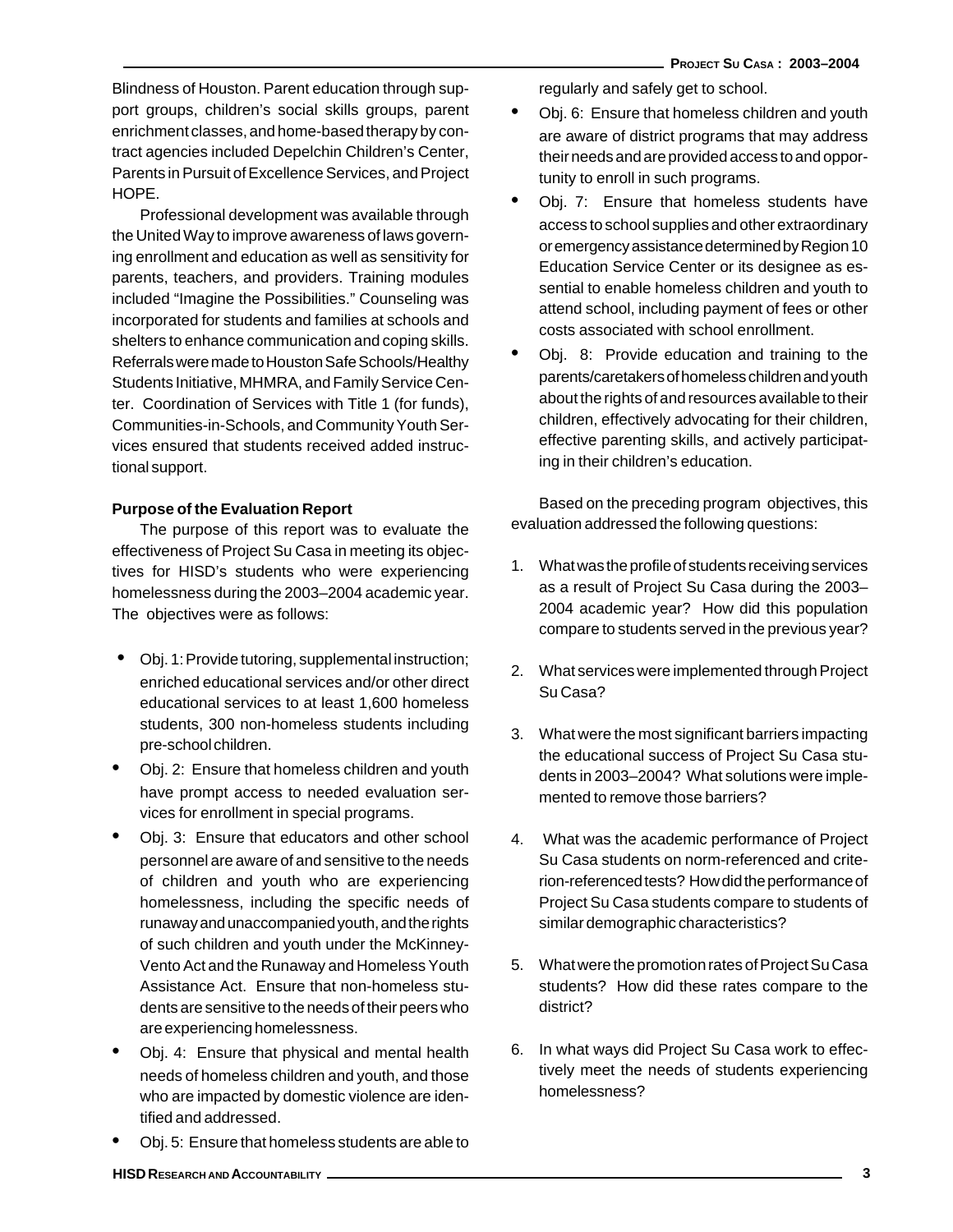Blindness of Houston. Parent education through support groups, children's social skills groups, parent enrichment classes, and home-based therapy by contract agencies included Depelchin Children's Center, Parents in Pursuit of Excellence Services, and Project HOPE.

Professional development was available through the United Way to improve awareness of laws governing enrollment and education as well as sensitivity for parents, teachers, and providers. Training modules included "Imagine the Possibilities." Counseling was incorporated for students and families at schools and shelters to enhance communication and coping skills. Referrals were made to Houston Safe Schools/Healthy Students Initiative, MHMRA, and Family Service Center. Coordination of Services with Title 1 (for funds), Communities-in-Schools, and Community Youth Services ensured that students received added instructional support.

#### **Purpose of the Evaluation Report**

The purpose of this report was to evaluate the effectiveness of Project Su Casa in meeting its objectives for HISD's students who were experiencing homelessness during the 2003–2004 academic year. The objectives were as follows:

- Obj. 1: Provide tutoring, supplemental instruction; enriched educational services and/or other direct educational services to at least 1,600 homeless students, 300 non-homeless students including pre-school children.
- Obj. 2: Ensure that homeless children and youth have prompt access to needed evaluation services for enrollment in special programs.
- Obj. 3: Ensure that educators and other school personnel are aware of and sensitive to the needs of children and youth who are experiencing homelessness, including the specific needs of runaway and unaccompanied youth, and the rights of such children and youth under the McKinney-Vento Act and the Runaway and Homeless Youth Assistance Act. Ensure that non-homeless students are sensitive to the needs of their peers who are experiencing homelessness.
- Obj. 4: Ensure that physical and mental health needs of homeless children and youth, and those who are impacted by domestic violence are identified and addressed.
- Obj. 5: Ensure that homeless students are able to

regularly and safely get to school.

- Obj. 6: Ensure that homeless children and youth are aware of district programs that may address their needs and are provided access to and opportunity to enroll in such programs.
- Obj. 7: Ensure that homeless students have access to school supplies and other extraordinary or emergency assistance determined by Region 10 Education Service Center or its designee as essential to enable homeless children and youth to attend school, including payment of fees or other costs associated with school enrollment.
- Obj. 8: Provide education and training to the parents/caretakers of homeless children and youth about the rights of and resources available to their children, effectively advocating for their children, effective parenting skills, and actively participating in their children's education.

Based on the preceding program objectives, this evaluation addressed the following questions:

- 1. What was the profile of students receiving services as a result of Project Su Casa during the 2003– 2004 academic year? How did this population compare to students served in the previous year?
- 2. What services were implemented through Project Su Casa?
- 3. What were the most significant barriers impacting the educational success of Project Su Casa students in 2003–2004? What solutions were implemented to remove those barriers?
- 4. What was the academic performance of Project Su Casa students on norm-referenced and criterion-referenced tests? How did the performance of Project Su Casa students compare to students of similar demographic characteristics?
- 5. What were the promotion rates of Project Su Casa students? How did these rates compare to the district?
- 6. In what ways did Project Su Casa work to effectively meet the needs of students experiencing homelessness?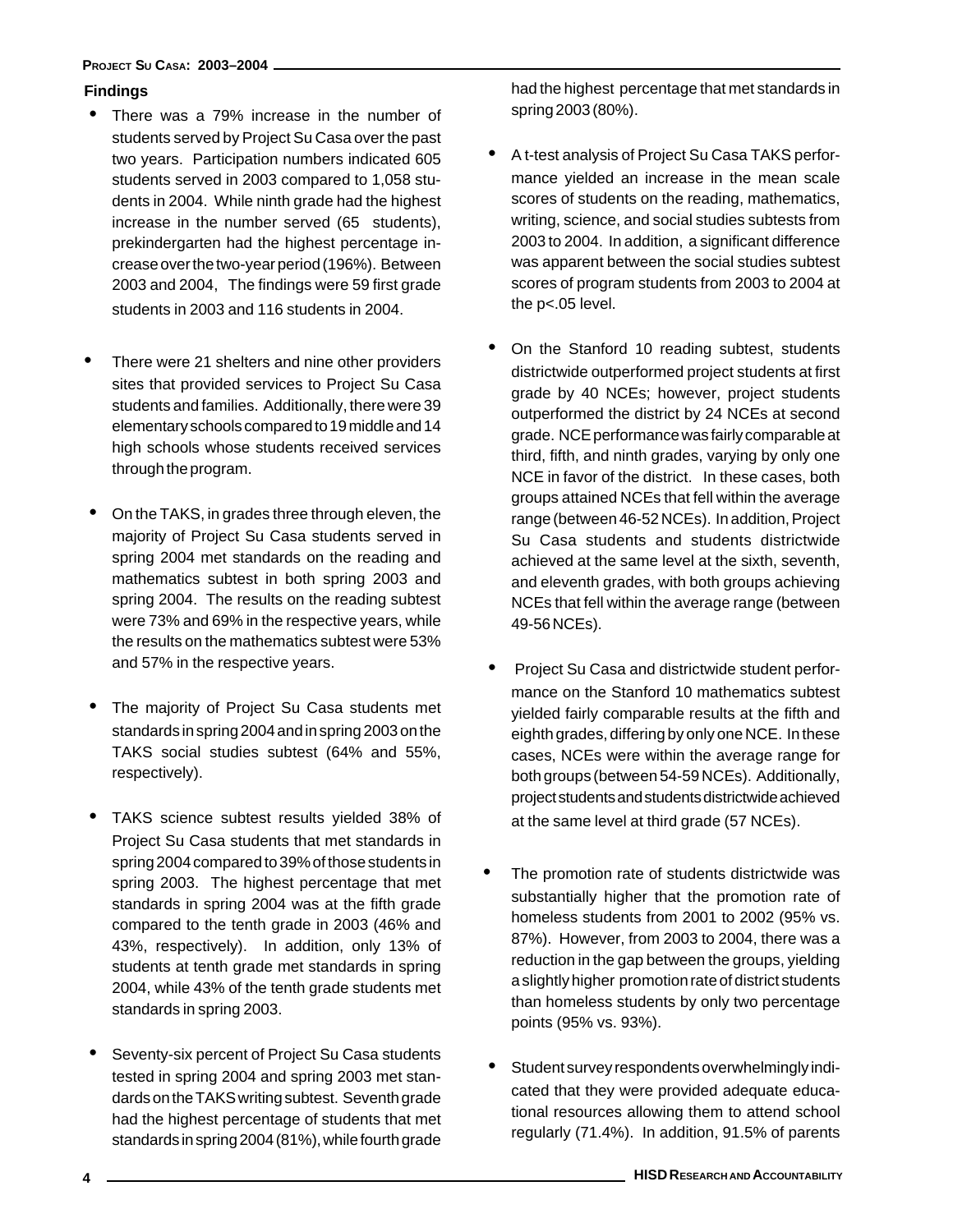#### **PROJECT SU CASA: 2003–2004**

#### **Findings**

- There was a 79% increase in the number of students served by Project Su Casa over the past two years. Participation numbers indicated 605 students served in 2003 compared to 1,058 students in 2004. While ninth grade had the highest increase in the number served (65 students), prekindergarten had the highest percentage increase over the two-year period (196%). Between 2003 and 2004, The findings were 59 first grade students in 2003 and 116 students in 2004.
- There were 21 shelters and nine other providers sites that provided services to Project Su Casa students and families. Additionally, there were 39 elementary schools compared to 19 middle and 14 high schools whose students received services through the program.
- On the TAKS, in grades three through eleven, the majority of Project Su Casa students served in spring 2004 met standards on the reading and mathematics subtest in both spring 2003 and spring 2004. The results on the reading subtest were 73% and 69% in the respective years, while the results on the mathematics subtest were 53% and 57% in the respective years.
- The majority of Project Su Casa students met standards in spring 2004 and in spring 2003 on the TAKS social studies subtest (64% and 55%, respectively).
- TAKS science subtest results yielded 38% of Project Su Casa students that met standards in spring 2004 compared to 39% of those students in spring 2003. The highest percentage that met standards in spring 2004 was at the fifth grade compared to the tenth grade in 2003 (46% and 43%, respectively). In addition, only 13% of students at tenth grade met standards in spring 2004, while 43% of the tenth grade students met standards in spring 2003.
- Seventy-six percent of Project Su Casa students tested in spring 2004 and spring 2003 met standards on the TAKS writing subtest. Seventh grade had the highest percentage of students that met standards in spring 2004 (81%), while fourth grade

had the highest percentage that met standards in spring 2003 (80%).

- A t-test analysis of Project Su Casa TAKS performance yielded an increase in the mean scale scores of students on the reading, mathematics, writing, science, and social studies subtests from 2003 to 2004. In addition, a significant difference was apparent between the social studies subtest scores of program students from 2003 to 2004 at the p<.05 level.
- On the Stanford 10 reading subtest, students districtwide outperformed project students at first grade by 40 NCEs; however, project students outperformed the district by 24 NCEs at second grade. NCE performance was fairly comparable at third, fifth, and ninth grades, varying by only one NCE in favor of the district. In these cases, both groups attained NCEs that fell within the average range (between 46-52 NCEs). In addition, Project Su Casa students and students districtwide achieved at the same level at the sixth, seventh, and eleventh grades, with both groups achieving NCEs that fell within the average range (between 49-56 NCEs).
- Project Su Casa and districtwide student performance on the Stanford 10 mathematics subtest yielded fairly comparable results at the fifth and eighth grades, differing by only one NCE. In these cases, NCEs were within the average range for both groups (between 54-59 NCEs). Additionally, project students and students districtwide achieved at the same level at third grade (57 NCEs).
- The promotion rate of students districtwide was substantially higher that the promotion rate of homeless students from 2001 to 2002 (95% vs. 87%). However, from 2003 to 2004, there was a reduction in the gap between the groups, yielding a slightly higher promotion rate of district students than homeless students by only two percentage points (95% vs. 93%).
- Student survey respondents overwhelmingly indicated that they were provided adequate educational resources allowing them to attend school regularly (71.4%). In addition, 91.5% of parents